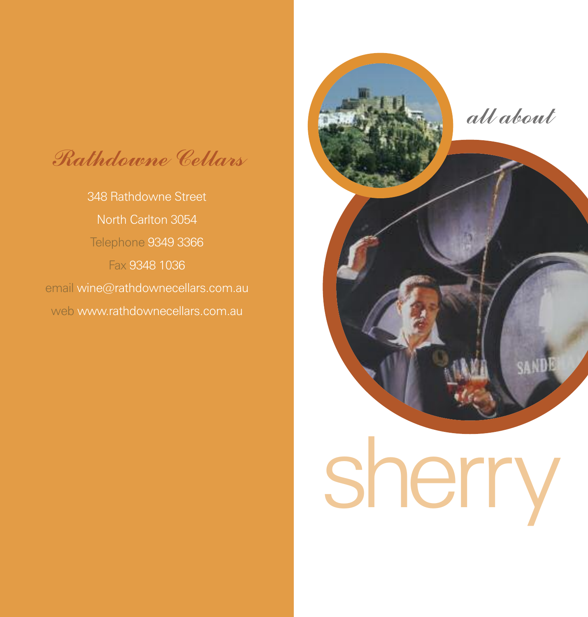*Rathdowne Cellars*

348 Rathdowne Street North Carlton 3054 Telephone 9349 3366 Fax 9348 1036 email wine@rathdownecellars.com.au web www.rathdownecellars.com.au



sherry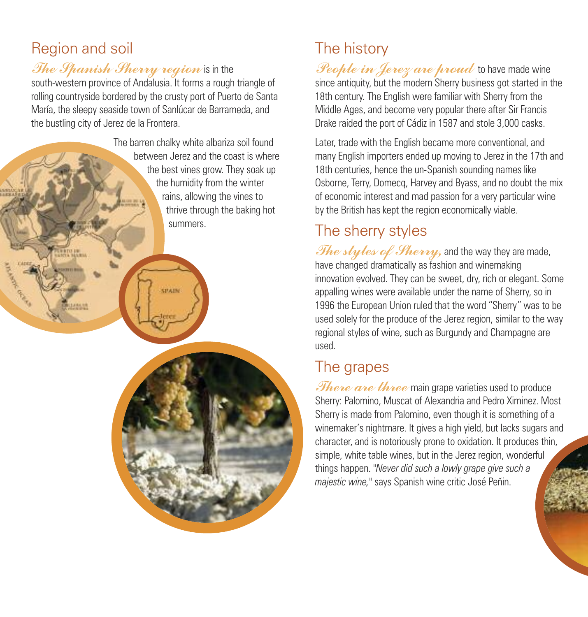## Region and soil

**STORE** 

Call R

*The Spanish Sherry region* is in the

south-western province of Andalusia. It forms a rough triangle of rolling countryside bordered by the crusty port of Puerto de Santa María, the sleepy seaside town of Sanlúcar de Barrameda, and the bustling city of Jerez de la Frontera.

**SPAIN** 

The barren chalky white albariza soil found between Jerez and the coast is where the best vines grow. They soak up the humidity from the winter rains, allowing the vines to thrive through the baking hot summers.

## The history

*People in Jerez are proud* to have made wine since antiquity, but the modern Sherry business got started in the 18th century. The English were familiar with Sherry from the Middle Ages, and become very popular there after Sir Francis Drake raided the port of Cádiz in 1587 and stole 3,000 casks.

Later, trade with the English became more conventional, and many English importers ended up moving to Jerez in the 17th and 18th centuries, hence the un-Spanish sounding names like Osborne, Terry, Domecq, Harvey and Byass, and no doubt the mix of economic interest and mad passion for a very particular wine by the British has kept the region economically viable.

## The sherry styles

*The styles of Sherry,* and the way they are made, have changed dramatically as fashion and winemaking innovation evolved. They can be sweet, dry, rich or elegant. Some appalling wines were available under the name of Sherry, so in 1996 the European Union ruled that the word "Sherry" was to be used solely for the produce of the Jerez region, similar to the way regional styles of wine, such as Burgundy and Champagne are used.

## The grapes

*<i>There* are three main grape varieties used to produce Sherry: Palomino, Muscat of Alexandria and Pedro Ximinez. Most Sherry is made from Palomino, even though it is something of a winemaker's nightmare. It gives a high yield, but lacks sugars and character, and is notoriously prone to oxidation. It produces thin, simple, white table wines, but in the Jerez region, wonderful things happen. *"Never did such a lowly grape give such a majestic wine,"* says Spanish wine critic José Peñin.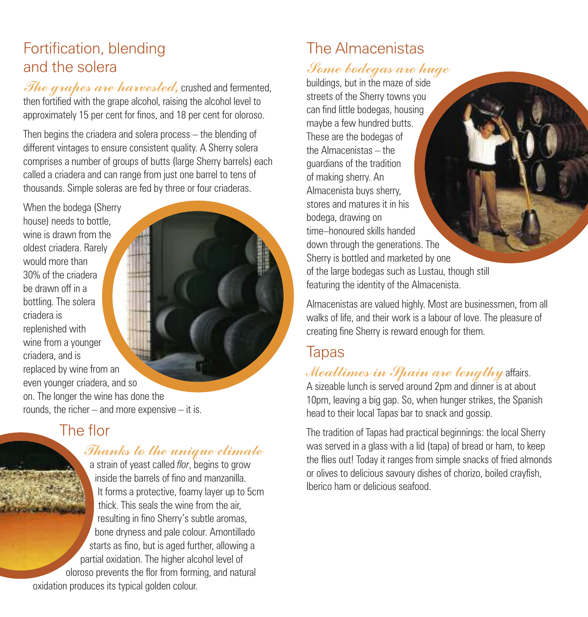## Fortification, blending and the solera

*The grapes are harvested,* crushed and fermented, then fortified with the grape alcohol, raising the alcohol level to approximately 15 per cent for finos, and 18 per cent for oloroso.

Then begins the criadera and solera process – the blending of different vintages to ensure consistent quality. A Sherry solera comprises a number of groups of butts (large Sherry barrels) each called a criadera and can range from just one barrel to tens of thousands. Simple soleras are fed by three or four criaderas.

When the bodega (Sherry house) needs to bottle, wine is drawn from the oldest criadera. Rarely would more than 30% of the criadera be drawn off in a bottling. The solera criadera is replenished with wine from a younger criadera, and is replaced by wine from an even younger criadera, and so on. The longer the wine has done the rounds, the richer – and more expensive – it is.

#### The flor

#### *Thanks to the unique climate*

a strain of yeast called *flor*, begins to grow inside the barrels of fino and manzanilla. It forms a protective, foamy layer up to 5cm thick. This seals the wine from the air, resulting in fino Sherry's subtle aromas, bone dryness and pale colour. Amontillado starts as fino, but is aged further, allowing a partial oxidation. The higher alcohol level of oloroso prevents the flor from forming, and natural oxidation produces its typical golden colour.

# The Almacenistas

#### *Some bodegas are huge*

buildings, but in the maze of side streets of the Sherry towns you can find little bodegas, housing maybe a few hundred butts. These are the bodegas of the Almacenistas – the guardians of the tradition of making sherry. An Almacenista buys sherry, stores and matures it in his bodega, drawing on time–honoured skills handed down through the generations. The Sherry is bottled and marketed by one of the large bodegas such as Lustau, though still featuring the identity of the Almacenista.

Almacenistas are valued highly. Most are businessmen, from all walks of life, and their work is a labour of love. The pleasure of creating fine Sherry is reward enough for them.

#### Tapas

*Mealtimes in Spain are lengthy* affairs. A sizeable lunch is served around 2pm and dinner is at about 10pm, leaving a big gap. So, when hunger strikes, the Spanish head to their local Tapas bar to snack and gossip.

The tradition of Tapas had practical beginnings: the local Sherry was served in a glass with a lid (tapa) of bread or ham, to keep the flies out! Today it ranges from simple snacks of fried almonds or olives to delicious savoury dishes of chorizo, boiled crayfish, Iberico ham or delicious seafood.